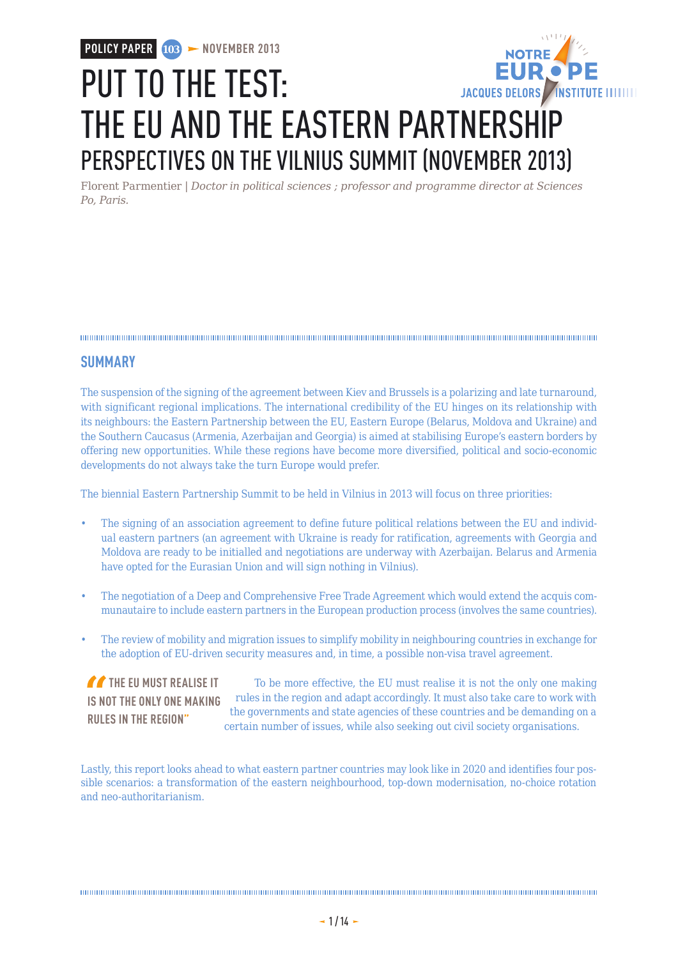**POLICY PAPER**  $103$  **> NOVEMBER 2013** 

# PUT TO THE TEST: JACQUES DELORS / INSTITUTE IIIIIIII THE EU AND THE EASTERN PARTNERSHIP PERSPECTIVES ON THE VILNIUS SUMMIT (NOVEMBER 2013)

Florent Parmentier | *Doctor in political sciences ; professor and programme director at Sciences Po, Paris.*

### **SUMMARY**

The suspension of the signing of the agreement between Kiev and Brussels is a polarizing and late turnaround, with significant regional implications. The international credibility of the EU hinges on its relationship with its neighbours: the Eastern Partnership between the EU, Eastern Europe (Belarus, Moldova and Ukraine) and the Southern Caucasus (Armenia, Azerbaijan and Georgia) is aimed at stabilising Europe's eastern borders by offering new opportunities. While these regions have become more diversified, political and socio-economic developments do not always take the turn Europe would prefer.

The biennial Eastern Partnership Summit to be held in Vilnius in 2013 will focus on three priorities:

- The signing of an association agreement to define future political relations between the EU and individual eastern partners (an agreement with Ukraine is ready for ratification, agreements with Georgia and Moldova are ready to be initialled and negotiations are underway with Azerbaijan. Belarus and Armenia have opted for the Eurasian Union and will sign nothing in Vilnius).
- The negotiation of a Deep and Comprehensive Free Trade Agreement which would extend the acquis communautaire to include eastern partners in the European production process (involves the same countries).
- The review of mobility and migration issues to simplify mobility in neighbouring countries in exchange for the adoption of EU-driven security measures and, in time, a possible non-visa travel agreement.

**THE EU MUST REALISE IT IS NOT THE ONLY ONE MAKING RULES IN THE REGION"**

To be more effective, the EU must realise it is not the only one making rules in the region and adapt accordingly. It must also take care to work with the governments and state agencies of these countries and be demanding on a certain number of issues, while also seeking out civil society organisations.

Lastly, this report looks ahead to what eastern partner countries may look like in 2020 and identifies four possible scenarios: a transformation of the eastern neighbourhood, top-down modernisation, no-choice rotation and neo-authoritarianism.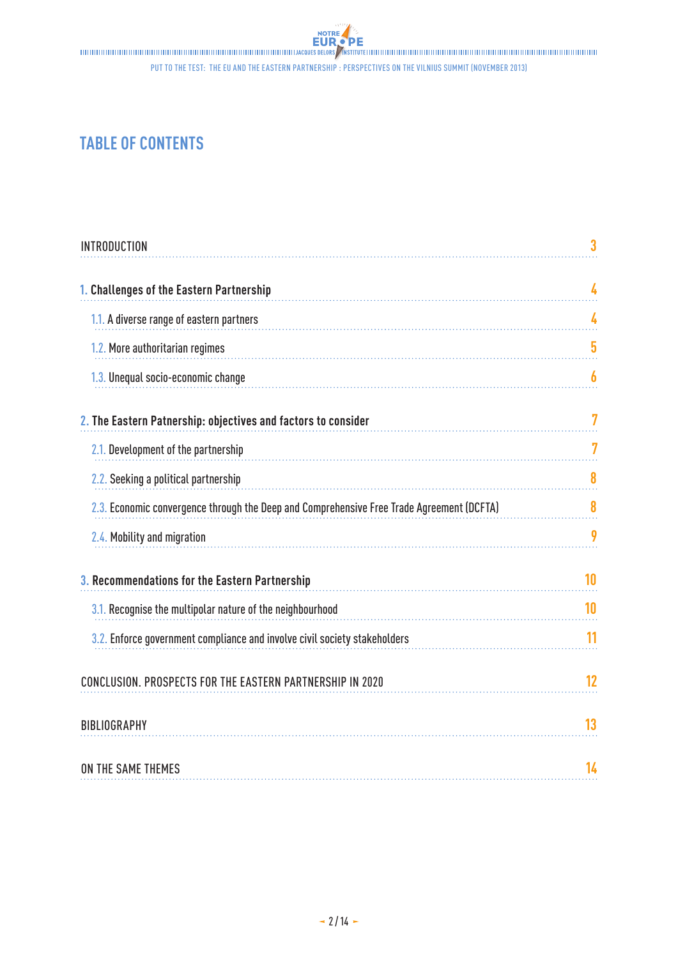# **TABLE OF CONTENTS**

| <b>INTRODUCTION</b>                                                                       | 3  |
|-------------------------------------------------------------------------------------------|----|
| 1. Challenges of the Eastern Partnership                                                  | 4  |
| 1.1. A diverse range of eastern partners                                                  | 4  |
| 1.2. More authoritarian regimes                                                           | 5  |
| 1.3. Unequal socio-economic change                                                        | 6  |
| 2. The Eastern Patnership: objectives and factors to consider                             | 7  |
| 2.1. Development of the partnership                                                       | 7  |
| 2.2. Seeking a political partnership                                                      | 8  |
| 2.3. Economic convergence through the Deep and Comprehensive Free Trade Agreement (DCFTA) | 8  |
| 2.4. Mobility and migration                                                               | 9  |
| 3. Recommendations for the Eastern Partnership                                            | 10 |
| 3.1. Recognise the multipolar nature of the neighbourhood                                 | 10 |
| 3.2. Enforce government compliance and involve civil society stakeholders                 | 11 |
| CONCLUSION. PROSPECTS FOR THE EASTERN PARTNERSHIP IN 2020                                 | 12 |
| <b>BIBLIOGRAPHY</b>                                                                       | 13 |
| ON THE SAME THEMES                                                                        | 14 |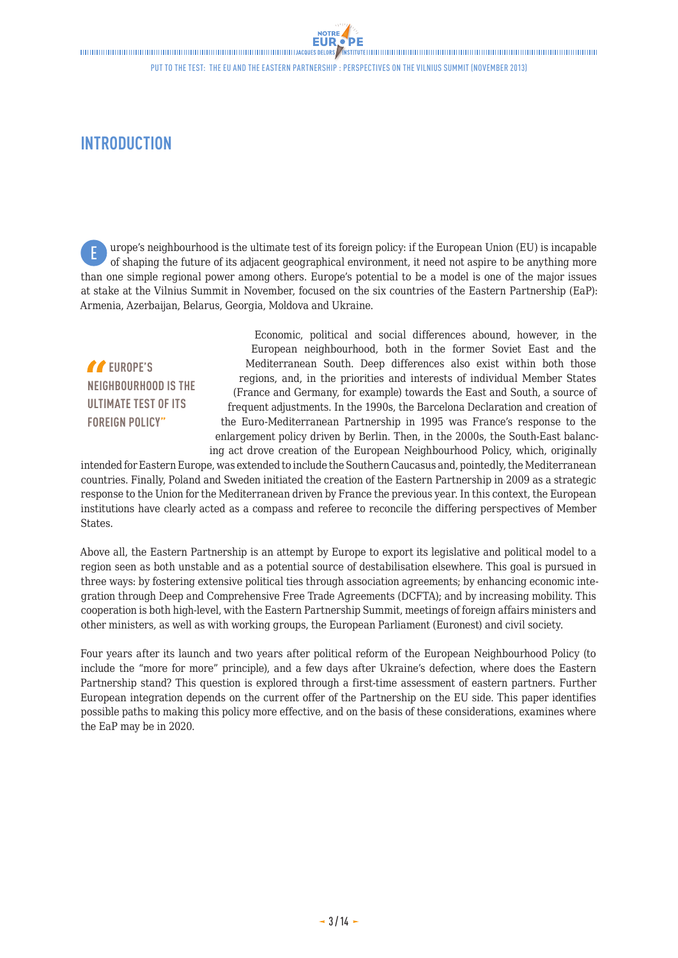# <span id="page-2-0"></span>**INTRODUCTION**

urope's neighbourhood is the ultimate test of its foreign policy: if the European Union (EU) is incapable of shaping the future of its adjacent geographical environment, it need not aspire to be anything more than one simple regional power among others. Europe's potential to be a model is one of the major issues at stake at the Vilnius Summit in November, focused on the six countries of the Eastern Partnership (EaP): Armenia, Azerbaijan, Belarus, Georgia, Moldova and Ukraine. E

 **EUROPE'S NEIGHBOURHOOD IS THE ULTIMATE TEST OF ITS FOREIGN POLICY"**

Economic, political and social differences abound, however, in the European neighbourhood, both in the former Soviet East and the Mediterranean South. Deep differences also exist within both those regions, and, in the priorities and interests of individual Member States (France and Germany, for example) towards the East and South, a source of frequent adjustments. In the 1990s, the Barcelona Declaration and creation of the Euro-Mediterranean Partnership in 1995 was France's response to the enlargement policy driven by Berlin. Then, in the 2000s, the South-East balancing act drove creation of the European Neighbourhood Policy, which, originally

intended for Eastern Europe, was extended to include the Southern Caucasus and, pointedly, the Mediterranean countries. Finally, Poland and Sweden initiated the creation of the Eastern Partnership in 2009 as a strategic response to the Union for the Mediterranean driven by France the previous year. In this context, the European institutions have clearly acted as a compass and referee to reconcile the differing perspectives of Member States.

Above all, the Eastern Partnership is an attempt by Europe to export its legislative and political model to a region seen as both unstable and as a potential source of destabilisation elsewhere. This goal is pursued in three ways: by fostering extensive political ties through association agreements; by enhancing economic integration through Deep and Comprehensive Free Trade Agreements (DCFTA); and by increasing mobility. This cooperation is both high-level, with the Eastern Partnership Summit, meetings of foreign affairs ministers and other ministers, as well as with working groups, the European Parliament (Euronest) and civil society.

Four years after its launch and two years after political reform of the European Neighbourhood Policy (to include the "more for more" principle), and a few days after Ukraine's defection, where does the Eastern Partnership stand? This question is explored through a first-time assessment of eastern partners. Further European integration depends on the current offer of the Partnership on the EU side. This paper identifies possible paths to making this policy more effective, and on the basis of these considerations, examines where the EaP may be in 2020.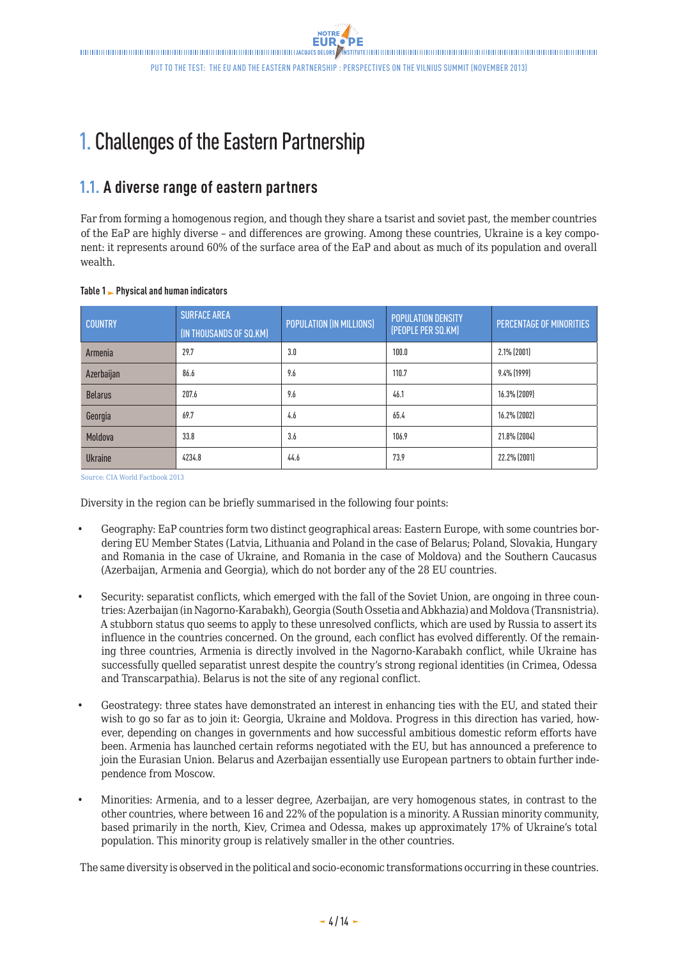<span id="page-3-0"></span> $\blacksquare$ Put to the test: the EU and the Eastern Partnership : Perspectives on the Vilnius Summit (November 2013)

# 1. Challenges of the Eastern Partnership

## **1.1. A diverse range of eastern partners**

Far from forming a homogenous region, and though they share a tsarist and soviet past, the member countries of the EaP are highly diverse – and differences are growing. Among these countries, Ukraine is a key component: it represents around 60% of the surface area of the EaP and about as much of its population and overall wealth.

|  |  |  |  | Table 1   – Physical and human indicators |
|--|--|--|--|-------------------------------------------|
|--|--|--|--|-------------------------------------------|

| <b>COUNTRY</b> | <b>SURFACE AREA</b><br>(IN THOUSANDS OF SQ.KM) | POPULATION (IN MILLIONS) | <b>POPULATION DENSITY</b><br>(PEOPLE PER SQ.KM) | PERCENTAGE OF MINORITIES |
|----------------|------------------------------------------------|--------------------------|-------------------------------------------------|--------------------------|
| Armenia        | 29.7                                           | 3.0                      | 100.0                                           | 2.1% (2001)              |
| Azerbaijan     | 86.6                                           | 9.6                      | 110.7                                           | 9.4% (1999)              |
| <b>Belarus</b> | 207.6                                          | 9.6                      | 46.1                                            | 16.3% (2009)             |
| Georgia        | 69.7                                           | 4.6                      | 65.4                                            | 16.2% (2002)             |
| Moldova        | 33.8                                           | 3.6                      | 106.9                                           | 21.8% (2004)             |
| <b>Ukraine</b> | 4234.8                                         | 44.6                     | 73.9                                            | 22.2% (2001)             |

Source: CIA World Factbook 2013

Diversity in the region can be briefly summarised in the following four points:

- Geography: EaP countries form two distinct geographical areas: Eastern Europe, with some countries bordering EU Member States (Latvia, Lithuania and Poland in the case of Belarus; Poland, Slovakia, Hungary and Romania in the case of Ukraine, and Romania in the case of Moldova) and the Southern Caucasus (Azerbaijan, Armenia and Georgia), which do not border any of the 28 EU countries.
- Security: separatist conflicts, which emerged with the fall of the Soviet Union, are ongoing in three countries: Azerbaijan (in Nagorno-Karabakh), Georgia (South Ossetia and Abkhazia) and Moldova (Transnistria). A stubborn status quo seems to apply to these unresolved conflicts, which are used by Russia to assert its influence in the countries concerned. On the ground, each conflict has evolved differently. Of the remaining three countries, Armenia is directly involved in the Nagorno-Karabakh conflict, while Ukraine has successfully quelled separatist unrest despite the country's strong regional identities (in Crimea, Odessa and Transcarpathia). Belarus is not the site of any regional conflict.
- Geostrategy: three states have demonstrated an interest in enhancing ties with the EU, and stated their wish to go so far as to join it: Georgia, Ukraine and Moldova. Progress in this direction has varied, however, depending on changes in governments and how successful ambitious domestic reform efforts have been. Armenia has launched certain reforms negotiated with the EU, but has announced a preference to join the Eurasian Union. Belarus and Azerbaijan essentially use European partners to obtain further independence from Moscow.
- Minorities: Armenia, and to a lesser degree, Azerbaijan, are very homogenous states, in contrast to the other countries, where between 16 and 22% of the population is a minority. A Russian minority community, based primarily in the north, Kiev, Crimea and Odessa, makes up approximately 17% of Ukraine's total population. This minority group is relatively smaller in the other countries.

The same diversity is observed in the political and socio-economic transformations occurring in these countries.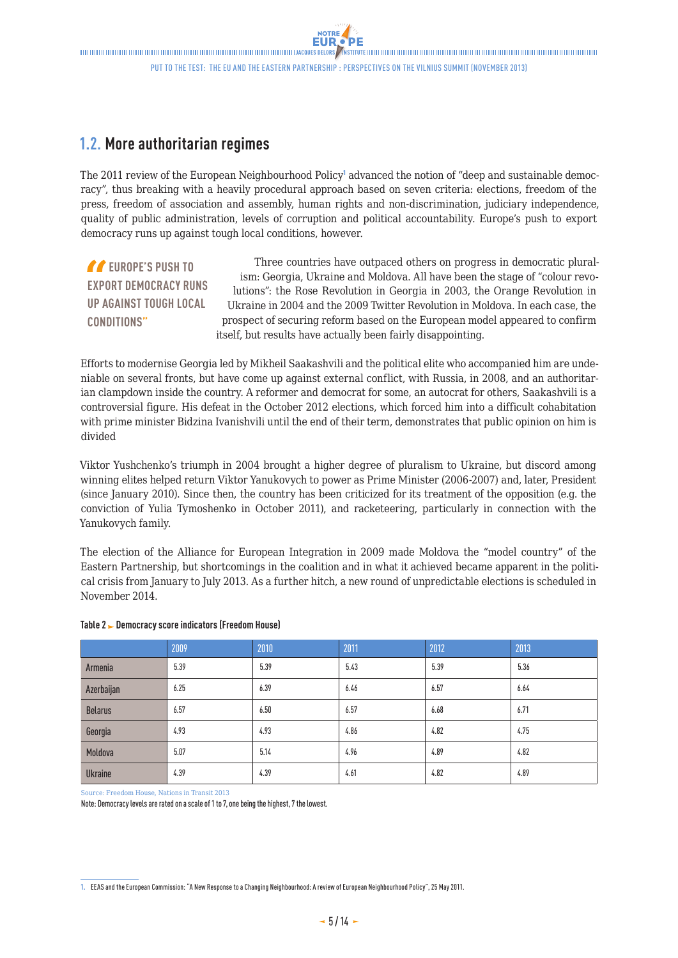## <span id="page-4-0"></span>**1.2. More authoritarian regimes**

The 2011 review of the European Neighbourhood Policy<sup>1</sup> advanced the notion of "deep and sustainable democracy", thus breaking with a heavily procedural approach based on seven criteria: elections, freedom of the press, freedom of association and assembly, human rights and non-discrimination, judiciary independence, quality of public administration, levels of corruption and political accountability. Europe's push to export democracy runs up against tough local conditions, however.

*C* EUROPE'S PUSH TO **EXPORT DEMOCRACY RUNS UP AGAINST TOUGH LOCAL CONDITIONS"**

Three countries have outpaced others on progress in democratic pluralism: Georgia, Ukraine and Moldova. All have been the stage of "colour revolutions": the Rose Revolution in Georgia in 2003, the Orange Revolution in Ukraine in 2004 and the 2009 Twitter Revolution in Moldova. In each case, the prospect of securing reform based on the European model appeared to confirm itself, but results have actually been fairly disappointing.

Efforts to modernise Georgia led by Mikheil Saakashvili and the political elite who accompanied him are undeniable on several fronts, but have come up against external conflict, with Russia, in 2008, and an authoritarian clampdown inside the country. A reformer and democrat for some, an autocrat for others, Saakashvili is a controversial figure. His defeat in the October 2012 elections, which forced him into a difficult cohabitation with prime minister Bidzina Ivanishvili until the end of their term, demonstrates that public opinion on him is divided

Viktor Yushchenko's triumph in 2004 brought a higher degree of pluralism to Ukraine, but discord among winning elites helped return Viktor Yanukovych to power as Prime Minister (2006-2007) and, later, President (since January 2010). Since then, the country has been criticized for its treatment of the opposition (e.g. the conviction of Yulia Tymoshenko in October 2011), and racketeering, particularly in connection with the Yanukovych family.

The election of the Alliance for European Integration in 2009 made Moldova the "model country" of the Eastern Partnership, but shortcomings in the coalition and in what it achieved became apparent in the political crisis from January to July 2013. As a further hitch, a new round of unpredictable elections is scheduled in November 2014.

|                | 2009 | 2010 | 2011 | 2012 | 2013 |
|----------------|------|------|------|------|------|
| Armenia        | 5.39 | 5.39 | 5.43 | 5.39 | 5.36 |
| Azerbaijan     | 6.25 | 6.39 | 6.46 | 6.57 | 6.64 |
| <b>Belarus</b> | 6.57 | 6.50 | 6.57 | 6.68 | 6.71 |
| Georgia        | 4.93 | 4.93 | 4.86 | 4.82 | 4.75 |
| Moldova        | 5.07 | 5.14 | 4.96 | 4.89 | 4.82 |
| <b>Ukraine</b> | 4.39 | 4.39 | 4.61 | 4.82 | 4.89 |

### **Table 2 Democracy score indicators (Freedom House)**

Source: Freedom House, Nations in Transit 2013

Note: Democracy levels are rated on a scale of 1 to 7, one being the highest, 7 the lowest.

**<sup>1.</sup>** EEAS and the European Commission: "A New Response to a Changing Neighbourhood: A review of European Neighbourhood Policy", 25 May 2011.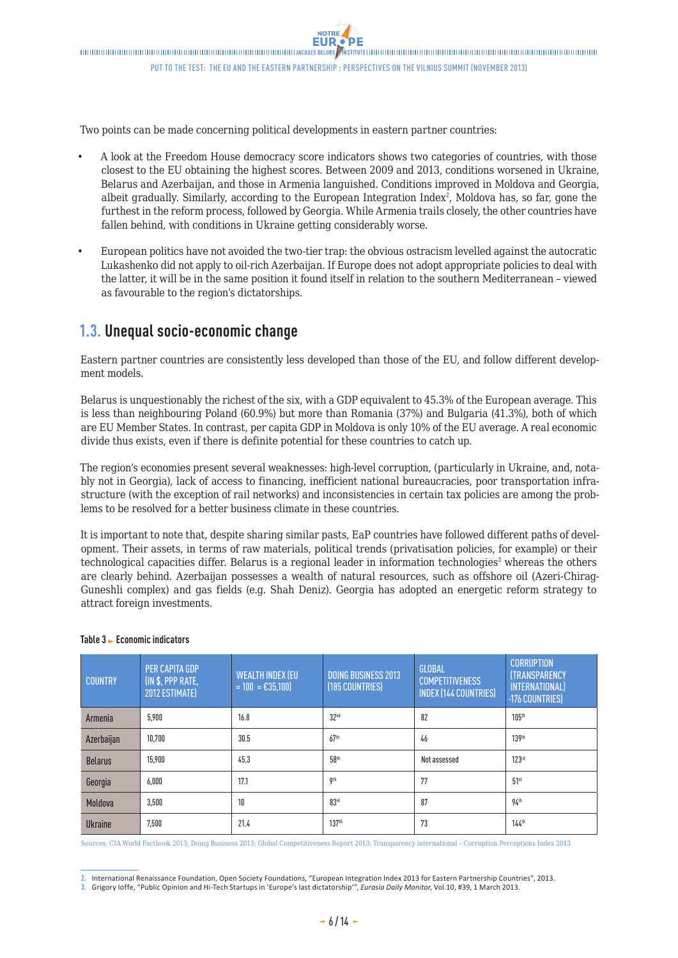<span id="page-5-0"></span>Two points can be made concerning political developments in eastern partner countries:

- A look at the Freedom House democracy score indicators shows two categories of countries, with those closest to the EU obtaining the highest scores. Between 2009 and 2013, conditions worsened in Ukraine, Belarus and Azerbaijan, and those in Armenia languished. Conditions improved in Moldova and Georgia, albeit gradually. Similarly, according to the European Integration Index<sup>2</sup>, Moldova has, so far, gone the furthest in the reform process, followed by Georgia. While Armenia trails closely, the other countries have fallen behind, with conditions in Ukraine getting considerably worse.
- • European politics have not avoided the two-tier trap: the obvious ostracism levelled against the autocratic Lukashenko did not apply to oil-rich Azerbaijan. If Europe does not adopt appropriate policies to deal with the latter, it will be in the same position it found itself in relation to the southern Mediterranean – viewed as favourable to the region's dictatorships.

# **1.3. Unequal socio-economic change**

Eastern partner countries are consistently less developed than those of the EU, and follow different development models.

Belarus is unquestionably the richest of the six, with a GDP equivalent to 45.3% of the European average. This is less than neighbouring Poland (60.9%) but more than Romania (37%) and Bulgaria (41.3%), both of which are EU Member States. In contrast, per capita GDP in Moldova is only 10% of the EU average. A real economic divide thus exists, even if there is definite potential for these countries to catch up.

The region's economies present several weaknesses: high-level corruption, (particularly in Ukraine, and, notably not in Georgia), lack of access to financing, inefficient national bureaucracies, poor transportation infrastructure (with the exception of rail networks) and inconsistencies in certain tax policies are among the problems to be resolved for a better business climate in these countries.

It is important to note that, despite sharing similar pasts, EaP countries have followed different paths of development. Their assets, in terms of raw materials, political trends (privatisation policies, for example) or their technological capacities differ. Belarus is a regional leader in information technologies<sup>3</sup> whereas the others are clearly behind. Azerbaijan possesses a wealth of natural resources, such as offshore oil (Azeri-Chirag-Guneshli complex) and gas fields (e.g. Shah Deniz). Georgia has adopted an energetic reform strategy to attract foreign investments.

| <b>COUNTRY</b> | <b>PER CAPITA GDP</b><br>(IN \$, PPP RATE,<br>2012 ESTIMATE) | <b>WEALTH INDEX (EU</b><br>$= 100 = \text{\textsterling}35,100$ | <b>DOING BUSINESS 2013</b><br>(185 COUNTRIES) | GLOBAL<br><b>COMPETITIVENESS</b><br><b>INDEX (144 COUNTRIES)</b> | <b>CORRUPTION</b><br><b>(TRANSPARENCY</b><br><b>INTERNATIONAL)</b><br>-176 COUNTRIES) |
|----------------|--------------------------------------------------------------|-----------------------------------------------------------------|-----------------------------------------------|------------------------------------------------------------------|---------------------------------------------------------------------------------------|
| Armenia        | 5.900                                                        | 16.8                                                            | 32 <sup>nd</sup>                              | 82                                                               | 105 <sup>th</sup>                                                                     |
| Azerbaijan     | 10.700                                                       | 30.5                                                            | 67 <sup>th</sup>                              | 46                                                               | 139th                                                                                 |
| <b>Belarus</b> | 15.900                                                       | 45.3                                                            | 58 <sup>th</sup>                              | Not assessed                                                     | 123rd                                                                                 |
| Georgia        | 6,000                                                        | 17.1                                                            | 9 <sup>th</sup>                               | 77                                                               | 51 <sup>st</sup>                                                                      |
| Moldova        | 3,500                                                        | 10                                                              | 83rd                                          | 87                                                               | 94 <sup>th</sup>                                                                      |
| <b>Ukraine</b> | 7,500                                                        | 21.4                                                            | 137 <sup>th</sup>                             | 73                                                               | $144$ <sup>th</sup>                                                                   |

#### **Table 3 Economic indicators**

Sources: CIA World Factbook 2013; Doing Business 2013; Global Competitiveness Report 2013; Transparency international – Corruption Perceptions Index 2013

**<sup>2.</sup>** International Renaissance Foundation, Open Society Foundations, "European Integration Index 2013 for Eastern Partnership Countries", 2013.

**<sup>3.</sup>** Grigory Ioffe, "Public Opinion and Hi-Tech Startups in 'Europe's last dictatorship'", *Eurasia Daily Monitor*, Vol.10, #39, 1 March 2013.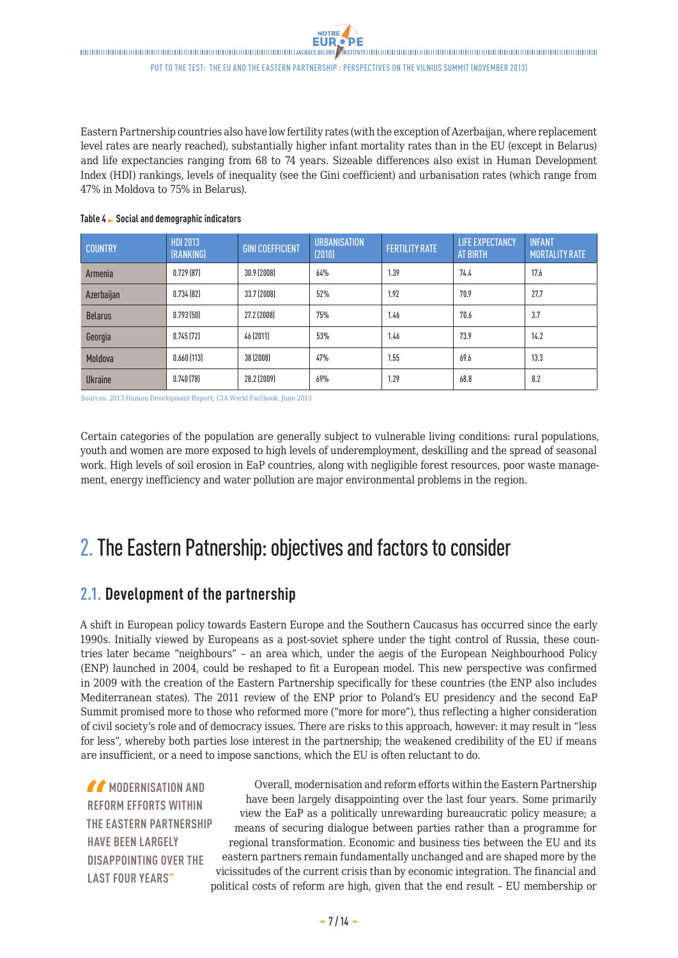<span id="page-6-0"></span>Eastern Partnership countries also have low fertility rates (with the exception of Azerbaijan, where replacement level rates are nearly reached), substantially higher infant mortality rates than in the EU (except in Belarus) and life expectancies ranging from 68 to 74 years. Sizeable differences also exist in Human Development Index (HDI) rankings, levels of inequality (see the Gini coefficient) and urbanisation rates (which range from 47% in Moldova to 75% in Belarus).

| <b>COUNTRY</b> | <b>HDI 2013</b><br>(RANKING) | <b>GINI COEFFICIENT</b> | <b>URBANISATION</b><br>(2010) | <b>FERTILITY RATE</b> | <b>LIFE EXPECTANCY</b><br>AT BIRTH | <b>INFANT</b><br><b>MORTALITY RATE</b> |
|----------------|------------------------------|-------------------------|-------------------------------|-----------------------|------------------------------------|----------------------------------------|
| Armenia        | 0.729(87)                    | 30.9 (2008)             | 64%                           | 1.39                  | 74.4                               | 17.6                                   |
| Azerbaijan     | 0.734(82)                    | 33.7 (2008)             | 52%                           | 1.92                  | 70.9                               | 27.7                                   |
| <b>Belarus</b> | 0.793(50)                    | 27.2 (2008)             | 75%                           | 1.46                  | 70.6                               | 3.7                                    |
| Georgia        | 0.745(72)                    | 46 (2011)               | 53%                           | 1.46                  | 73.9                               | 14.2                                   |
| Moldova        | 0.660(113)                   | 38 (2008)               | 47%                           | 1.55                  | 69.6                               | 13.3                                   |
| <b>Ukraine</b> | 0.740(78)                    | 28.2 (2009)             | 69%                           | 1.29                  | 68.8                               | 8.2                                    |

#### **Table 4 Social and demographic indicators**

Sources: 2013 Human Development Report; CIA World Factbook, June 2013

Certain categories of the population are generally subject to vulnerable living conditions: rural populations, youth and women are more exposed to high levels of underemployment, deskilling and the spread of seasonal work. High levels of soil erosion in EaP countries, along with negligible forest resources, poor waste management, energy inefficiency and water pollution are major environmental problems in the region.

# 2.The Eastern Patnership: objectives and factors to consider

# **2.1. Development of the partnership**

A shift in European policy towards Eastern Europe and the Southern Caucasus has occurred since the early 1990s. Initially viewed by Europeans as a post-soviet sphere under the tight control of Russia, these countries later became "neighbours" – an area which, under the aegis of the European Neighbourhood Policy (ENP) launched in 2004, could be reshaped to fit a European model. This new perspective was confirmed in 2009 with the creation of the Eastern Partnership specifically for these countries (the ENP also includes Mediterranean states). The 2011 review of the ENP prior to Poland's EU presidency and the second EaP Summit promised more to those who reformed more ("more for more"), thus reflecting a higher consideration of civil society's role and of democracy issues. There are risks to this approach, however: it may result in "less for less", whereby both parties lose interest in the partnership; the weakened credibility of the EU if means are insufficient, or a need to impose sanctions, which the EU is often reluctant to do.

*MODERNISATION AND* **REFORM EFFORTS WITHIN THE EASTERN PARTNERSHIP HAVE BEEN LARGELY DISAPPOINTING OVER THE LAST FOUR YEARS"**

Overall, modernisation and reform efforts within the Eastern Partnership have been largely disappointing over the last four years. Some primarily view the EaP as a politically unrewarding bureaucratic policy measure; a means of securing dialogue between parties rather than a programme for regional transformation. Economic and business ties between the EU and its eastern partners remain fundamentally unchanged and are shaped more by the vicissitudes of the current crisis than by economic integration. The financial and political costs of reform are high, given that the end result – EU membership or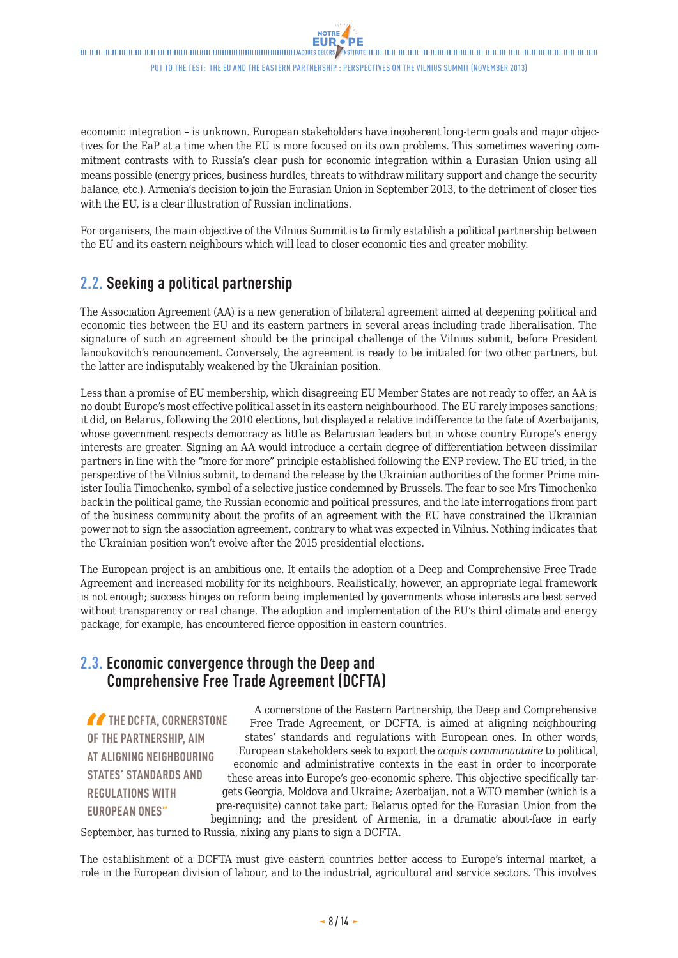<span id="page-7-0"></span>economic integration – is unknown. European stakeholders have incoherent long-term goals and major objectives for the EaP at a time when the EU is more focused on its own problems. This sometimes wavering commitment contrasts with to Russia's clear push for economic integration within a Eurasian Union using all means possible (energy prices, business hurdles, threats to withdraw military support and change the security balance, etc.). Armenia's decision to join the Eurasian Union in September 2013, to the detriment of closer ties with the EU, is a clear illustration of Russian inclinations.

For organisers, the main objective of the Vilnius Summit is to firmly establish a political partnership between the EU and its eastern neighbours which will lead to closer economic ties and greater mobility.

# **2.2. Seeking a political partnership**

The Association Agreement (AA) is a new generation of bilateral agreement aimed at deepening political and economic ties between the EU and its eastern partners in several areas including trade liberalisation. The signature of such an agreement should be the principal challenge of the Vilnius submit, before President Ianoukovitch's renouncement. Conversely, the agreement is ready to be initialed for two other partners, but the latter are indisputably weakened by the Ukrainian position.

Less than a promise of EU membership, which disagreeing EU Member States are not ready to offer, an AA is no doubt Europe's most effective political asset in its eastern neighbourhood. The EU rarely imposes sanctions; it did, on Belarus, following the 2010 elections, but displayed a relative indifference to the fate of Azerbaijanis, whose government respects democracy as little as Belarusian leaders but in whose country Europe's energy interests are greater. Signing an AA would introduce a certain degree of differentiation between dissimilar partners in line with the "more for more" principle established following the ENP review. The EU tried, in the perspective of the Vilnius submit, to demand the release by the Ukrainian authorities of the former Prime minister Ioulia Timochenko, symbol of a selective justice condemned by Brussels. The fear to see Mrs Timochenko back in the political game, the Russian economic and political pressures, and the late interrogations from part of the business community about the profits of an agreement with the EU have constrained the Ukrainian power not to sign the association agreement, contrary to what was expected in Vilnius. Nothing indicates that the Ukrainian position won't evolve after the 2015 presidential elections.

The European project is an ambitious one. It entails the adoption of a Deep and Comprehensive Free Trade Agreement and increased mobility for its neighbours. Realistically, however, an appropriate legal framework is not enough; success hinges on reform being implemented by governments whose interests are best served without transparency or real change. The adoption and implementation of the EU's third climate and energy package, for example, has encountered fierce opposition in eastern countries.

### **2.3. Economic convergence through the Deep and Comprehensive Free Trade Agreement (DCFTA)**

**THE DCFTA, CORNERSTONE OF THE PARTNERSHIP, AIM AT ALIGNING NEIGHBOURING STATES' STANDARDS AND REGULATIONS WITH EUROPEAN ONES"**

A cornerstone of the Eastern Partnership, the Deep and Comprehensive Free Trade Agreement, or DCFTA, is aimed at aligning neighbouring states' standards and regulations with European ones. In other words, European stakeholders seek to export the *acquis communautaire* to political, economic and administrative contexts in the east in order to incorporate these areas into Europe's geo-economic sphere. This objective specifically targets Georgia, Moldova and Ukraine; Azerbaijan, not a WTO member (which is a pre-requisite) cannot take part; Belarus opted for the Eurasian Union from the beginning; and the president of Armenia, in a dramatic about-face in early

September, has turned to Russia, nixing any plans to sign a DCFTA.

The establishment of a DCFTA must give eastern countries better access to Europe's internal market, a role in the European division of labour, and to the industrial, agricultural and service sectors. This involves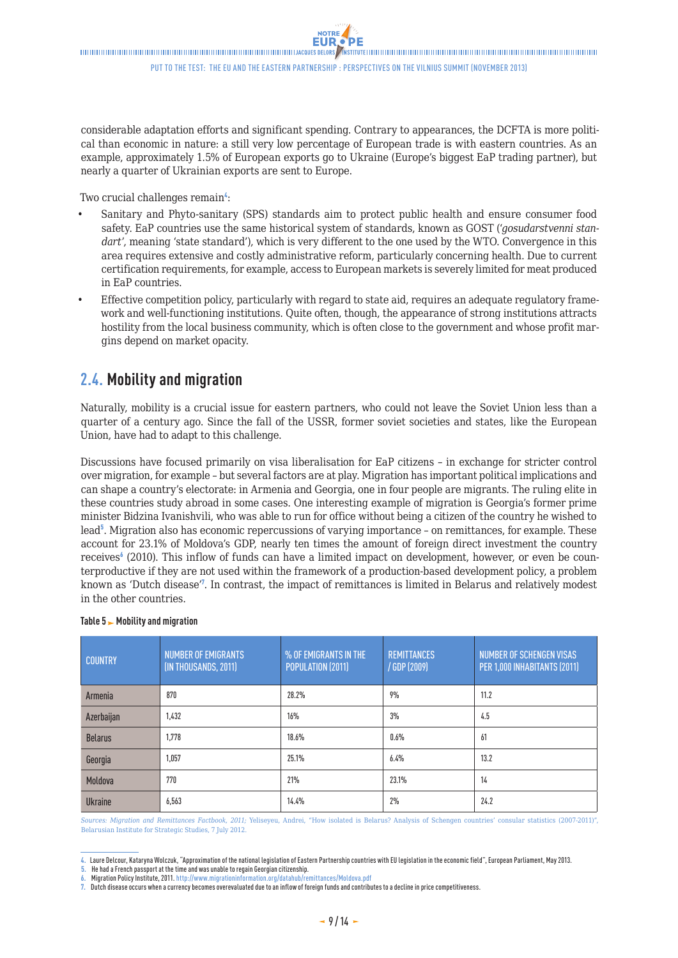<span id="page-8-0"></span>considerable adaptation efforts and significant spending. Contrary to appearances, the DCFTA is more political than economic in nature: a still very low percentage of European trade is with eastern countries. As an example, approximately 1.5% of European exports go to Ukraine (Europe's biggest EaP trading partner), but nearly a quarter of Ukrainian exports are sent to Europe.

Two crucial challenges remain<sup>4</sup>:

- Sanitary and Phyto-sanitary (SPS) standards aim to protect public health and ensure consumer food safety. EaP countries use the same historical system of standards, known as GOST ('*gosudarstvenni standart*', meaning 'state standard'), which is very different to the one used by the WTO. Convergence in this area requires extensive and costly administrative reform, particularly concerning health. Due to current certification requirements, for example, access to European markets is severely limited for meat produced in EaP countries.
- Effective competition policy, particularly with regard to state aid, requires an adequate regulatory framework and well-functioning institutions. Quite often, though, the appearance of strong institutions attracts hostility from the local business community, which is often close to the government and whose profit margins depend on market opacity.

## **2.4. Mobility and migration**

Naturally, mobility is a crucial issue for eastern partners, who could not leave the Soviet Union less than a quarter of a century ago. Since the fall of the USSR, former soviet societies and states, like the European Union, have had to adapt to this challenge.

Discussions have focused primarily on visa liberalisation for EaP citizens – in exchange for stricter control over migration, for example – but several factors are at play. Migration has important political implications and can shape a country's electorate: in Armenia and Georgia, one in four people are migrants. The ruling elite in these countries study abroad in some cases. One interesting example of migration is Georgia's former prime minister Bidzina Ivanishvili, who was able to run for office without being a citizen of the country he wished to lead<sup>5</sup>. Migration also has economic repercussions of varying importance - on remittances, for example. These account for 23.1% of Moldova's GDP, nearly ten times the amount of foreign direct investment the country receives<sup>6</sup> (2010). This inflow of funds can have a limited impact on development, however, or even be counterproductive if they are not used within the framework of a production-based development policy, a problem known as 'Dutch disease'<sup>7</sup> . In contrast, the impact of remittances is limited in Belarus and relatively modest in the other countries.

| <b>COUNTRY</b> | <b>NUMBER OF EMIGRANTS</b><br>(IN THOUSANDS, 2011) | % OF EMIGRANTS IN THE<br>POPULATION (2011) | <b>REMITTANCES</b><br>/ GDP (2009) | <b>NUMBER OF SCHENGEN VISAS</b><br>PER 1,000 INHABITANTS (2011) |
|----------------|----------------------------------------------------|--------------------------------------------|------------------------------------|-----------------------------------------------------------------|
| Armenia        | 870                                                | 28.2%                                      | 9%                                 | 11.2                                                            |
| Azerbaijan     | 1.432                                              | 16%                                        | 3%                                 | 4.5                                                             |
| <b>Belarus</b> | 1.778                                              | 18.6%                                      | 0.6%                               | 61                                                              |
| Georgia        | 1,057                                              | 25.1%                                      | 6.4%                               | 13.2                                                            |
| Moldova        | 770                                                | 21%                                        | 23.1%                              | 14                                                              |
| <b>Ukraine</b> | 6,563                                              | 14.4%                                      | 2%                                 | 24.2                                                            |

#### Table 5 Mobility and migration

*Sources: Migration and Remittances Factbook, 2011;* Yeliseyeu, Andrei, "How isolated is Belarus? Analysis of Schengen countries' consular statistics (2007-2011)", Belarusian Institute for Strategic Studies, 7 July 2012.

**<sup>4.</sup>** Laure Delcour, Kataryna Wolczuk, "Approximation of the national legislation of Eastern Partnership countries with EU legislation in the economic field", European Parliament, May 2013.

**<sup>5.</sup>** He had a French passport at the time and was unable to regain Georgian citizenship.

**<sup>6.</sup>** Migration Policy Institute, 2011. http://www.migrationinformation.org/datahub/remittances/Moldova.pdf

**<sup>7.</sup>** Dutch disease occurs when a currency becomes overevaluated due to an inflow of foreign funds and contributes to a decline in price competitiveness.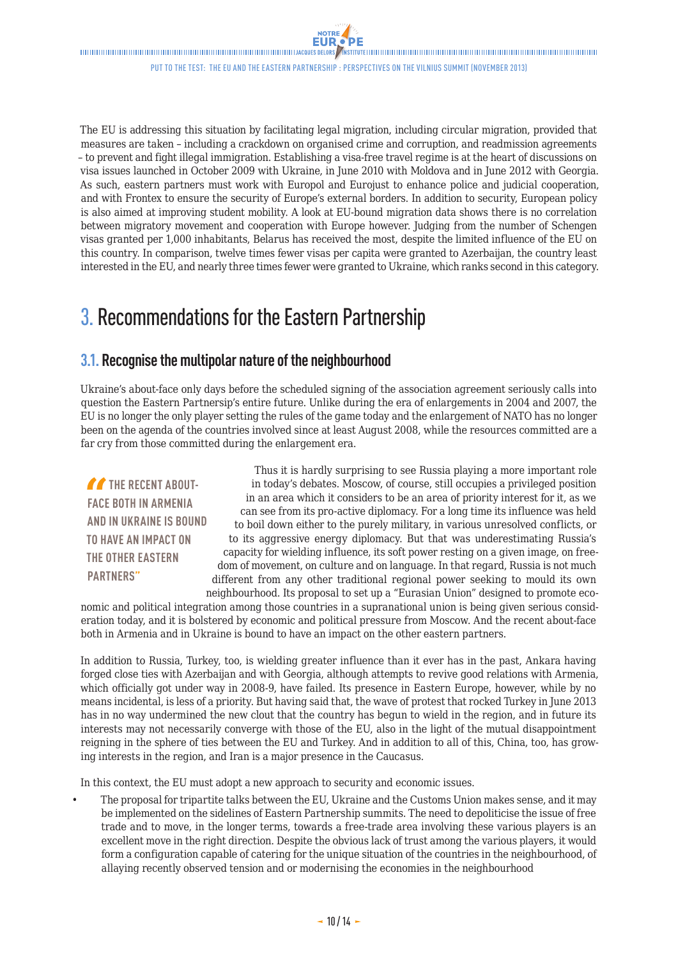<span id="page-9-0"></span> $\label{thm:main} The minimum minimum minimum minimum minimum maximum number of samples. The structure of the number of samples are the same, the number of samples are the same, the number of samples are the same, the number of samples are the same, the number of samples are the same, the number of samples are the same, the number of samples are the same, the number of samples are the same, the number of samples are the same, the number of samples are the same, the number of samples are the same, the number of samples are the same, the number of samples are the same, the number of samples are the same, the number of samples are the same, the number of samples are the same, the number of samples are the same, the number of samples are the same, the number of samples are the same, the number of samples are the same, the number of samples are the same, the number of samples are the same, the number of samples are the same, the number of samples are the same, the number of samples are the$ 

Put to the test: the EU and the Eastern Partnership : Perspectives on the Vilnius Summit (November 2013)

The EU is addressing this situation by facilitating legal migration, including circular migration, provided that measures are taken – including a crackdown on organised crime and corruption, and readmission agreements – to prevent and fight illegal immigration. Establishing a visa-free travel regime is at the heart of discussions on visa issues launched in October 2009 with Ukraine, in June 2010 with Moldova and in June 2012 with Georgia. As such, eastern partners must work with Europol and Eurojust to enhance police and judicial cooperation, and with Frontex to ensure the security of Europe's external borders. In addition to security, European policy is also aimed at improving student mobility. A look at EU-bound migration data shows there is no correlation between migratory movement and cooperation with Europe however. Judging from the number of Schengen visas granted per 1,000 inhabitants, Belarus has received the most, despite the limited influence of the EU on this country. In comparison, twelve times fewer visas per capita were granted to Azerbaijan, the country least interested in the EU, and nearly three times fewer were granted to Ukraine, which ranks second in this category.

# 3. Recommendations for the Eastern Partnership

### **3.1. Recognise the multipolar nature of the neighbourhood**

Ukraine's about-face only days before the scheduled signing of the association agreement seriously calls into question the Eastern Partnersip's entire future. Unlike during the era of enlargements in 2004 and 2007, the EU is no longer the only player setting the rules of the game today and the enlargement of NATO has no longer been on the agenda of the countries involved since at least August 2008, while the resources committed are a far cry from those committed during the enlargement era.

**THE RECENT ABOUT-FACE BOTH IN ARMENIA AND IN UKRAINE IS BOUND TO HAVE AN IMPACT ON THE OTHER EASTERN PARTNERS"**

Thus it is hardly surprising to see Russia playing a more important role in today's debates. Moscow, of course, still occupies a privileged position in an area which it considers to be an area of priority interest for it, as we can see from its pro-active diplomacy. For a long time its influence was held to boil down either to the purely military, in various unresolved conflicts, or to its aggressive energy diplomacy. But that was underestimating Russia's capacity for wielding influence, its soft power resting on a given image, on freedom of movement, on culture and on language. In that regard, Russia is not much different from any other traditional regional power seeking to mould its own neighbourhood. Its proposal to set up a "Eurasian Union" designed to promote eco-

nomic and political integration among those countries in a supranational union is being given serious consideration today, and it is bolstered by economic and political pressure from Moscow. And the recent about-face both in Armenia and in Ukraine is bound to have an impact on the other eastern partners.

In addition to Russia, Turkey, too, is wielding greater influence than it ever has in the past, Ankara having forged close ties with Azerbaijan and with Georgia, although attempts to revive good relations with Armenia, which officially got under way in 2008-9, have failed. Its presence in Eastern Europe, however, while by no means incidental, is less of a priority. But having said that, the wave of protest that rocked Turkey in June 2013 has in no way undermined the new clout that the country has begun to wield in the region, and in future its interests may not necessarily converge with those of the EU, also in the light of the mutual disappointment reigning in the sphere of ties between the EU and Turkey. And in addition to all of this, China, too, has growing interests in the region, and Iran is a major presence in the Caucasus.

In this context, the EU must adopt a new approach to security and economic issues.

The proposal for tripartite talks between the EU, Ukraine and the Customs Union makes sense, and it may be implemented on the sidelines of Eastern Partnership summits. The need to depoliticise the issue of free trade and to move, in the longer terms, towards a free-trade area involving these various players is an excellent move in the right direction. Despite the obvious lack of trust among the various players, it would form a configuration capable of catering for the unique situation of the countries in the neighbourhood, of allaying recently observed tension and or modernising the economies in the neighbourhood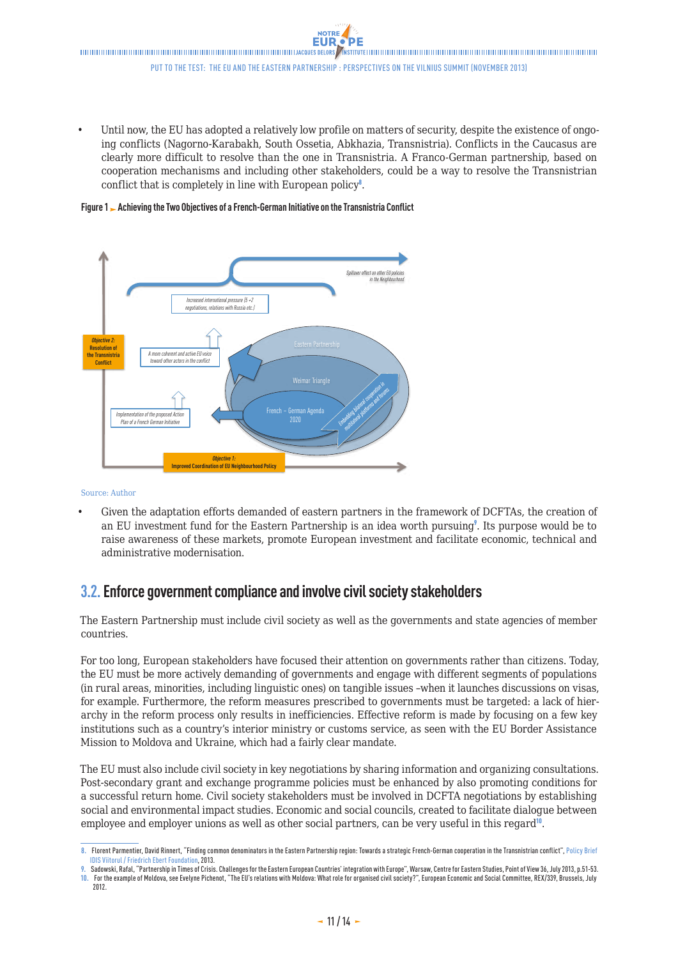<span id="page-10-0"></span>Until now, the EU has adopted a relatively low profile on matters of security, despite the existence of ongoing conflicts (Nagorno-Karabakh, South Ossetia, Abkhazia, Transnistria). Conflicts in the Caucasus are clearly more difficult to resolve than the one in Transnistria. A Franco-German partnership, based on cooperation mechanisms and including other stakeholders, could be a way to resolve the Transnistrian conflict that is completely in line with European policy<sup>8</sup>.

**Figure 1 Achieving the Two Objectives of a French-German Initiative on the Transnistria Conflict**



Source: Author

Given the adaptation efforts demanded of eastern partners in the framework of DCFTAs, the creation of an EU investment fund for the Eastern Partnership is an idea worth pursuing<sup>9</sup>. Its purpose would be to raise awareness of these markets, promote European investment and facilitate economic, technical and administrative modernisation.

### **3.2.Enforce government compliance and involve civil society stakeholders**

The Eastern Partnership must include civil society as well as the governments and state agencies of member countries.

For too long, European stakeholders have focused their attention on governments rather than citizens. Today, the EU must be more actively demanding of governments and engage with different segments of populations (in rural areas, minorities, including linguistic ones) on tangible issues –when it launches discussions on visas, for example. Furthermore, the reform measures prescribed to governments must be targeted: a lack of hierarchy in the reform process only results in inefficiencies. Effective reform is made by focusing on a few key institutions such as a country's interior ministry or customs service, as seen with the EU Border Assistance Mission to Moldova and Ukraine, which had a fairly clear mandate.

The EU must also include civil society in key negotiations by sharing information and organizing consultations. Post-secondary grant and exchange programme policies must be enhanced by also promoting conditions for a successful return home. Civil society stakeholders must be involved in DCFTA negotiations by establishing social and environmental impact studies. Economic and social councils, created to facilitate dialogue between employee and employer unions as well as other social partners, can be very useful in this regard<sup> $0$ </sup>.

**<sup>8.</sup>** Florent Parmentier, David Rinnert, "Finding common denominators in the Eastern Partnership region: Towards a strategic French-German cooperation in the Transnistrian conflict", Policy Brief IDIS Viitorul / Friedrich Ebert Foundation, 2013.

**<sup>9.</sup>** Sadowski, Rafal, "Partnership in Times of Crisis. Challenges for the Eastern European Countries' integration with Europe", Warsaw, Centre for Eastern Studies, Point of View 36, July 2013, p.51-53. **10.** For the example of Moldova, see Evelyne Pichenot, "The EU's relations with Moldova: What role for organised civil society?", European Economic and Social Committee, REX/339, Brussels, July 2012.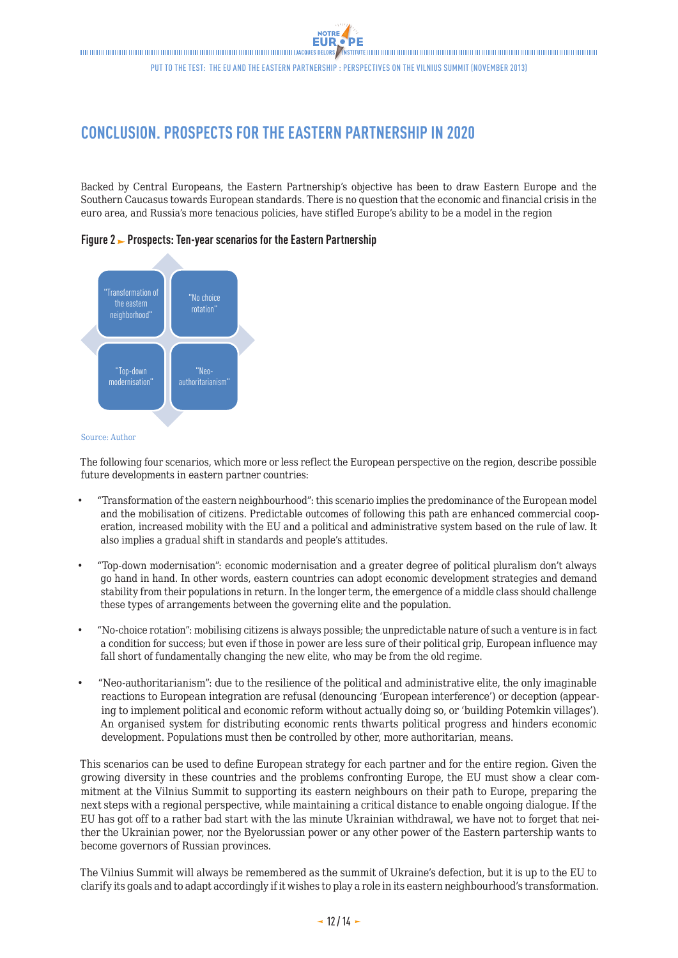# <span id="page-11-0"></span>**CONCLUSION. PROSPECTS FOR THE EASTERN PARTNERSHIP IN 2020**

Backed by Central Europeans, the Eastern Partnership's objective has been to draw Eastern Europe and the Southern Caucasus towards European standards. There is no question that the economic and financial crisis in the euro area, and Russia's more tenacious policies, have stifled Europe's ability to be a model in the region

### **Figure 2 Prospects: Ten-year scenarios for the Eastern Partnership**



#### Source: Author

The following four scenarios, which more or less reflect the European perspective on the region, describe possible future developments in eastern partner countries:

- "Transformation of the eastern neighbourhood": this scenario implies the predominance of the European model and the mobilisation of citizens. Predictable outcomes of following this path are enhanced commercial cooperation, increased mobility with the EU and a political and administrative system based on the rule of law. It also implies a gradual shift in standards and people's attitudes.
- • "Top-down modernisation": economic modernisation and a greater degree of political pluralism don't always go hand in hand. In other words, eastern countries can adopt economic development strategies and demand stability from their populations in return. In the longer term, the emergence of a middle class should challenge these types of arrangements between the governing elite and the population.
- • "No-choice rotation": mobilising citizens is always possible; the unpredictable nature of such a venture is in fact a condition for success; but even if those in power are less sure of their political grip, European influence may fall short of fundamentally changing the new elite, who may be from the old regime.
- • "Neo-authoritarianism": due to the resilience of the political and administrative elite, the only imaginable reactions to European integration are refusal (denouncing 'European interference') or deception (appearing to implement political and economic reform without actually doing so, or 'building Potemkin villages'). An organised system for distributing economic rents thwarts political progress and hinders economic development. Populations must then be controlled by other, more authoritarian, means.

This scenarios can be used to define European strategy for each partner and for the entire region. Given the growing diversity in these countries and the problems confronting Europe, the EU must show a clear commitment at the Vilnius Summit to supporting its eastern neighbours on their path to Europe, preparing the next steps with a regional perspective, while maintaining a critical distance to enable ongoing dialogue. If the EU has got off to a rather bad start with the las minute Ukrainian withdrawal, we have not to forget that neither the Ukrainian power, nor the Byelorussian power or any other power of the Eastern partership wants to become governors of Russian provinces.

The Vilnius Summit will always be remembered as the summit of Ukraine's defection, but it is up to the EU to clarify its goals and to adapt accordingly if it wishes to play a role in its eastern neighbourhood's transformation.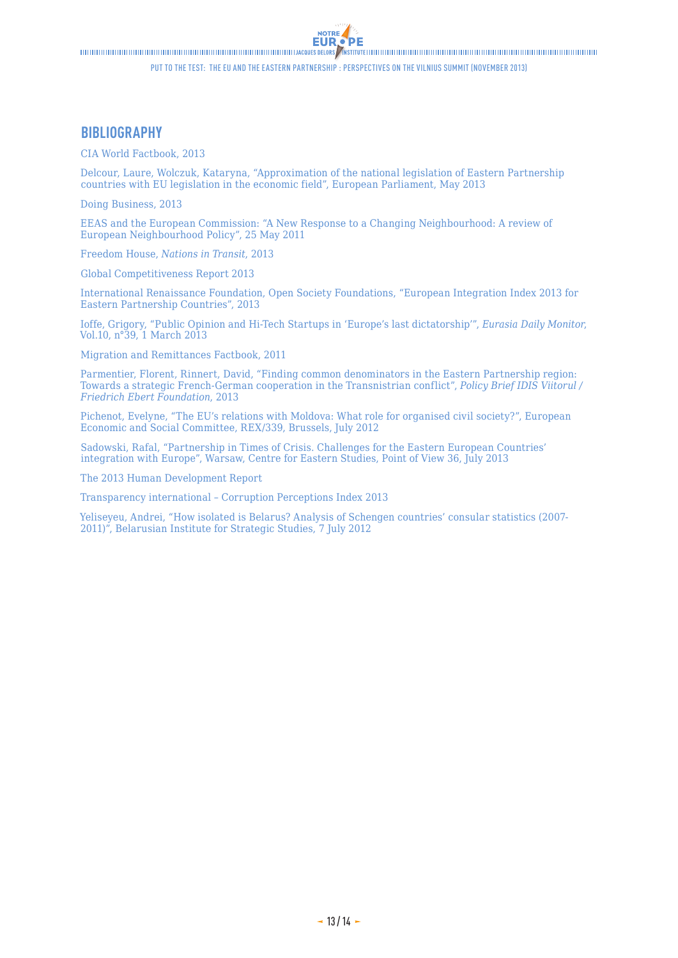**EUR.**  $\blacksquare$ 

'DE

NOTRE

### **BIBLIOGRAPHY**

CIA World Factbook, 2013

Delcour, Laure, Wolczuk, Kataryna, "Approximation of the national legislation of Eastern Partnership countries with EU legislation in the economic field", European Parliament, May 2013

Doing Business, 2013

EEAS and the European Commission: "A New Response to a Changing Neighbourhood: A review of European Neighbourhood Policy", 25 May 2011

Freedom House, *Nations in Transit*, 2013

Global Competitiveness Report 2013

International Renaissance Foundation, Open Society Foundations, "European Integration Index 2013 for Eastern Partnership Countries", 2013

Ioffe, Grigory, "Public Opinion and Hi-Tech Startups in 'Europe's last dictatorship'", *Eurasia Daily Monitor*, Vol.10, n°39, 1 March 2013

Migration and Remittances Factbook, 2011

Parmentier, Florent, Rinnert, David, "Finding common denominators in the Eastern Partnership region: Towards a strategic French-German cooperation in the Transnistrian conflict", *Policy Brief IDIS Viitorul / Friedrich Ebert Foundation*, 2013

Pichenot, Evelyne, "The EU's relations with Moldova: What role for organised civil society?", European Economic and Social Committee, REX/339, Brussels, July 2012

Sadowski, Rafal, "Partnership in Times of Crisis. Challenges for the Eastern European Countries' integration with Europe", Warsaw, Centre for Eastern Studies, Point of View 36, July 2013

The 2013 Human Development Report

Transparency international – Corruption Perceptions Index 2013

Yeliseyeu, Andrei, "How isolated is Belarus? Analysis of Schengen countries' consular statistics (2007- 2011)", Belarusian Institute for Strategic Studies, 7 July 2012